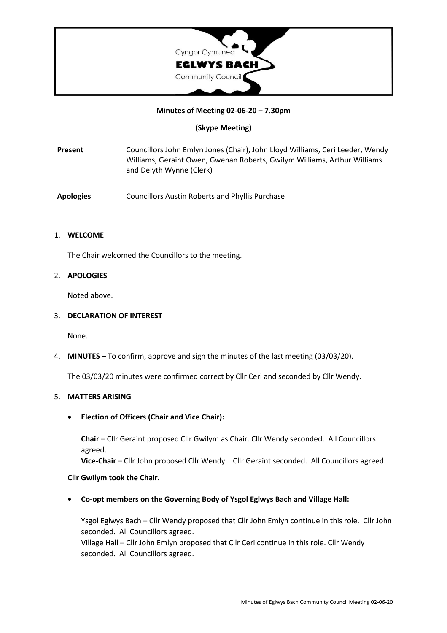

## **Minutes of Meeting 02-06-20 – 7.30pm**

## **(Skype Meeting)**

**Present** Councillors John Emlyn Jones (Chair), John Lloyd Williams, Ceri Leeder, Wendy Williams, Geraint Owen, Gwenan Roberts, Gwilym Williams, Arthur Williams and Delyth Wynne (Clerk)

**Apologies** Councillors Austin Roberts and Phyllis Purchase

### 1. **WELCOME**

The Chair welcomed the Councillors to the meeting.

## 2. **APOLOGIES**

Noted above.

### 3. **DECLARATION OF INTEREST**

None.

4. **MINUTES** – To confirm, approve and sign the minutes of the last meeting (03/03/20).

The 03/03/20 minutes were confirmed correct by Cllr Ceri and seconded by Cllr Wendy.

### 5. **MATTERS ARISING**

**Election of Officers (Chair and Vice Chair):**

**Chair** – Cllr Geraint proposed Cllr Gwilym as Chair. Cllr Wendy seconded. All Councillors agreed.

**Vice-Chair** – Cllr John proposed Cllr Wendy. Cllr Geraint seconded. All Councillors agreed.

### **Cllr Gwilym took the Chair.**

**Co-opt members on the Governing Body of Ysgol Eglwys Bach and Village Hall:**

Ysgol Eglwys Bach – Cllr Wendy proposed that Cllr John Emlyn continue in this role. Cllr John seconded. All Councillors agreed.

Village Hall – Cllr John Emlyn proposed that Cllr Ceri continue in this role. Cllr Wendy seconded. All Councillors agreed.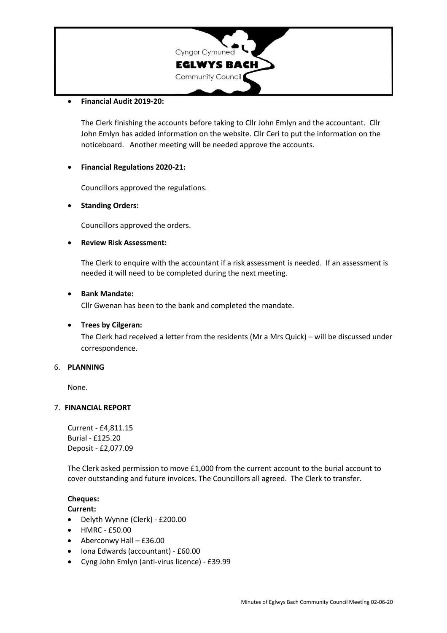

#### **Financial Audit 2019-20:**

The Clerk finishing the accounts before taking to Cllr John Emlyn and the accountant. Cllr John Emlyn has added information on the website. Cllr Ceri to put the information on the noticeboard. Another meeting will be needed approve the accounts.

### **Financial Regulations 2020-21:**

Councillors approved the regulations.

## **Standing Orders:**

Councillors approved the orders.

# **Review Risk Assessment:**

The Clerk to enquire with the accountant if a risk assessment is needed. If an assessment is needed it will need to be completed during the next meeting.

### **Bank Mandate:**

Cllr Gwenan has been to the bank and completed the mandate.

### **Trees by Cilgeran:**

The Clerk had received a letter from the residents (Mr a Mrs Quick) – will be discussed under correspondence.

### 6. **PLANNING**

None.

### 7. **FINANCIAL REPORT**

Current - £4,811.15 Burial - £125.20 Deposit - £2,077.09

The Clerk asked permission to move £1,000 from the current account to the burial account to cover outstanding and future invoices. The Councillors all agreed. The Clerk to transfer.

# **Cheques:**

### **Current:**

- Delyth Wynne (Clerk) £200.00
- HMRC £50.00
- Aberconwy Hall £36.00
- Iona Edwards (accountant) £60.00
- Cyng John Emlyn (anti-virus licence) £39.99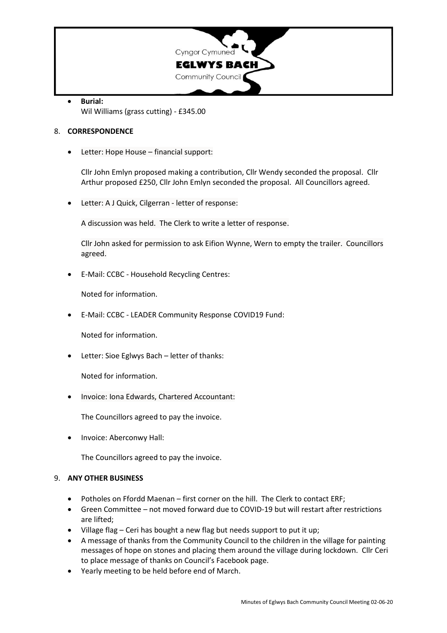

 **Burial:** Wil Williams (grass cutting) - £345.00

## 8. **CORRESPONDENCE**

Letter: Hope House – financial support:

Cllr John Emlyn proposed making a contribution, Cllr Wendy seconded the proposal. Cllr Arthur proposed £250, Cllr John Emlyn seconded the proposal. All Councillors agreed.

Letter: A J Quick, Cilgerran - letter of response:

A discussion was held. The Clerk to write a letter of response.

Cllr John asked for permission to ask Eifion Wynne, Wern to empty the trailer. Councillors agreed.

E-Mail: CCBC - Household Recycling Centres:

Noted for information.

E-Mail: CCBC - LEADER Community Response COVID19 Fund:

Noted for information.

Letter: Sioe Eglwys Bach – letter of thanks:

Noted for information.

Invoice: Iona Edwards, Chartered Accountant:

The Councillors agreed to pay the invoice.

Invoice: Aberconwy Hall:

The Councillors agreed to pay the invoice.

### 9. **ANY OTHER BUSINESS**

- Potholes on Ffordd Maenan first corner on the hill. The Clerk to contact ERF;
- Green Committee not moved forward due to COVID-19 but will restart after restrictions are lifted;
- Village flag Ceri has bought a new flag but needs support to put it up;
- A message of thanks from the Community Council to the children in the village for painting messages of hope on stones and placing them around the village during lockdown. Cllr Ceri to place message of thanks on Council's Facebook page.
- Yearly meeting to be held before end of March.